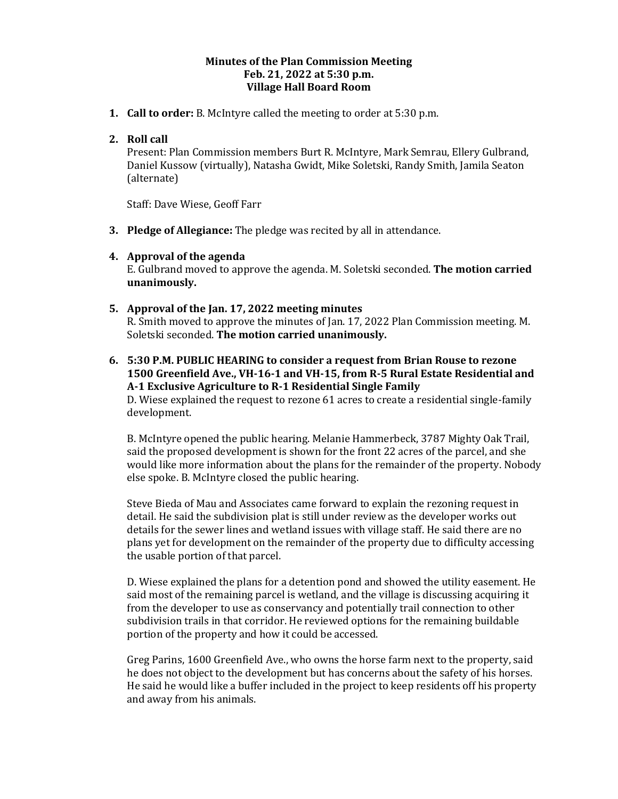#### **Minutes of the Plan Commission Meeting Feb. 21, 2022 at 5:30 p.m. Village Hall Board Room**

**1. Call to order:** B. McIntyre called the meeting to order at 5:30 p.m.

## **2. Roll call**

Present: Plan Commission members Burt R. McIntyre, Mark Semrau, Ellery Gulbrand, Daniel Kussow (virtually), Natasha Gwidt, Mike Soletski, Randy Smith, Jamila Seaton (alternate)

Staff: Dave Wiese, Geoff Farr

**3. Pledge of Allegiance:** The pledge was recited by all in attendance.

#### **4. Approval of the agenda**

E. Gulbrand moved to approve the agenda. M. Soletski seconded. **The motion carried unanimously.** 

### **5. Approval of the Jan. 17, 2022 meeting minutes**

R. Smith moved to approve the minutes of Jan. 17, 2022 Plan Commission meeting. M. Soletski seconded. **The motion carried unanimously.**

**6. 5:30 P.M. PUBLIC HEARING to consider a request from Brian Rouse to rezone 1500 Greenfield Ave., VH-16-1 and VH-15, from R-5 Rural Estate Residential and A-1 Exclusive Agriculture to R-1 Residential Single Family** D. Wiese explained the request to rezone 61 acres to create a residential single-family development.

B. McIntyre opened the public hearing. Melanie Hammerbeck, 3787 Mighty Oak Trail, said the proposed development is shown for the front 22 acres of the parcel, and she would like more information about the plans for the remainder of the property. Nobody else spoke. B. McIntyre closed the public hearing.

Steve Bieda of Mau and Associates came forward to explain the rezoning request in detail. He said the subdivision plat is still under review as the developer works out details for the sewer lines and wetland issues with village staff. He said there are no plans yet for development on the remainder of the property due to difficulty accessing the usable portion of that parcel.

D. Wiese explained the plans for a detention pond and showed the utility easement. He said most of the remaining parcel is wetland, and the village is discussing acquiring it from the developer to use as conservancy and potentially trail connection to other subdivision trails in that corridor. He reviewed options for the remaining buildable portion of the property and how it could be accessed.

Greg Parins, 1600 Greenfield Ave., who owns the horse farm next to the property, said he does not object to the development but has concerns about the safety of his horses. He said he would like a buffer included in the project to keep residents off his property and away from his animals.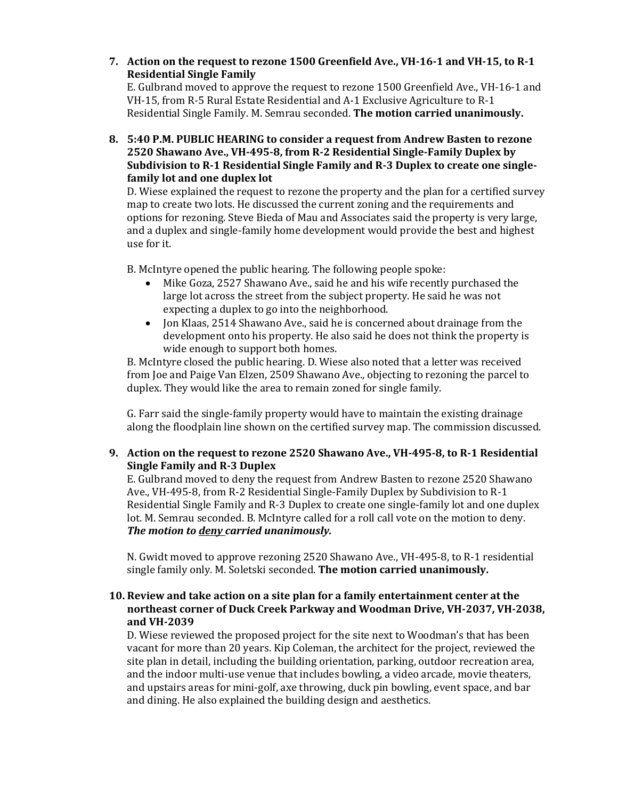**7. Action on the request to rezone 1500 Greenfield Ave., VH-16-1 and VH-15, to R-1 Residential Single Family** E. Gulbrand moved to approve the request to rezone 1500 Greenfield Ave., VH-16-1 and VH-15, from R-5 Rural Estate Residential and A-1 Exclusive Agriculture to R-1

Residential Single Family. M. Semrau seconded. **The motion carried unanimously.** 

**8. 5:40 P.M. PUBLIC HEARING to consider a request from Andrew Basten to rezone 2520 Shawano Ave., VH-495-8, from R-2 Residential Single-Family Duplex by Subdivision to R-1 Residential Single Family and R-3 Duplex to create one singlefamily lot and one duplex lot**

D. Wiese explained the request to rezone the property and the plan for a certified survey map to create two lots. He discussed the current zoning and the requirements and options for rezoning. Steve Bieda of Mau and Associates said the property is very large, and a duplex and single-family home development would provide the best and highest use for it.

B. McIntyre opened the public hearing. The following people spoke:

- Mike Goza, 2527 Shawano Ave., said he and his wife recently purchased the large lot across the street from the subject property. He said he was not expecting a duplex to go into the neighborhood.
- Jon Klaas, 2514 Shawano Ave., said he is concerned about drainage from the development onto his property. He also said he does not think the property is wide enough to support both homes.

B. McIntyre closed the public hearing. D. Wiese also noted that a letter was received from Joe and Paige Van Elzen, 2509 Shawano Ave., objecting to rezoning the parcel to duplex. They would like the area to remain zoned for single family.

G. Farr said the single-family property would have to maintain the existing drainage along the floodplain line shown on the certified survey map. The commission discussed.

# **9. Action on the request to rezone 2520 Shawano Ave., VH-495-8, to R-1 Residential Single Family and R-3 Duplex**

E. Gulbrand moved to deny the request from Andrew Basten to rezone 2520 Shawano Ave., VH-495-8, from R-2 Residential Single-Family Duplex by Subdivision to R-1 Residential Single Family and R-3 Duplex to create one single-family lot and one duplex lot. M. Semrau seconded. B. McIntyre called for a roll call vote on the motion to deny. *The motion to deny carried unanimously.* 

N. Gwidt moved to approve rezoning 2520 Shawano Ave., VH-495-8, to R-1 residential single family only. M. Soletski seconded. **The motion carried unanimously.**

### **10. Review and take action on a site plan for a family entertainment center at the northeast corner of Duck Creek Parkway and Woodman Drive, VH-2037, VH-2038, and VH-2039**

D. Wiese reviewed the proposed project for the site next to Woodman's that has been vacant for more than 20 years. Kip Coleman, the architect for the project, reviewed the site plan in detail, including the building orientation, parking, outdoor recreation area, and the indoor multi-use venue that includes bowling, a video arcade, movie theaters, and upstairs areas for mini-golf, axe throwing, duck pin bowling, event space, and bar and dining. He also explained the building design and aesthetics.